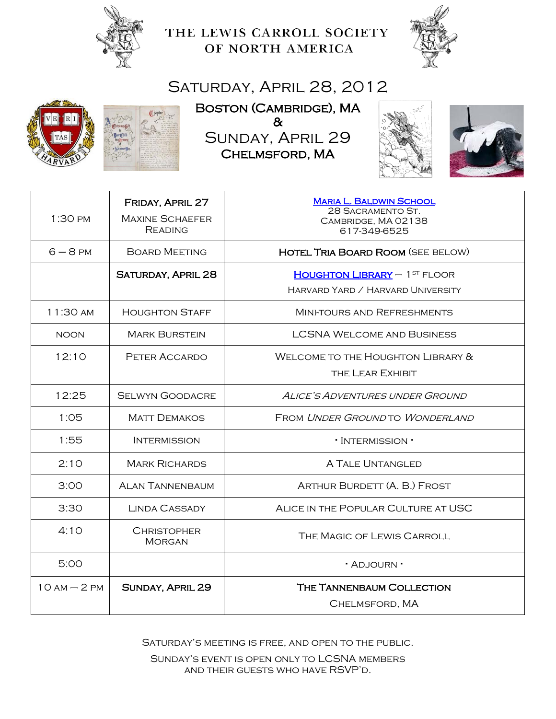

THE LEWIS CARROLL SOCIETY OF NORTH AMERICA



## SATURDAY, APRIL 28, 2012





BOSTON (CAMBRIDGE), MA & Sunday, April 29 Chelmsford, MA





| 1:30 PM      | FRIDAY, APRIL 27<br><b>MAXINE SCHAEFER</b><br><b>READING</b> | <b>MARIA L. BALDWIN SCHOOL</b><br>28 SACRAMENTO ST.<br>CAMBRIDGE, MA 02138<br>617-349-6525 |
|--------------|--------------------------------------------------------------|--------------------------------------------------------------------------------------------|
| $6 - 8$ PM   | <b>BOARD MEETING</b>                                         | <b>HOTEL TRIA BOARD ROOM (SEE BELOW)</b>                                                   |
|              | <b>SATURDAY, APRIL 28</b>                                    | <b>HOUGHTON LIBRARY</b> - 1ST FLOOR<br>HARVARD YARD / HARVARD UNIVERSITY                   |
| 11:30 AM     | <b>HOUGHTON STAFF</b>                                        | MINI-TOURS AND REFRESHMENTS                                                                |
| <b>NOON</b>  | <b>MARK BURSTEIN</b>                                         | <b>LCSNA WELCOME AND BUSINESS</b>                                                          |
| 12:10        | PETER ACCARDO                                                | WELCOME TO THE HOUGHTON LIBRARY &<br>THE LEAR EXHIBIT                                      |
| 12:25        | <b>SELWYN GOODACRE</b>                                       | ALICE'S ADVENTURES UNDER GROUND                                                            |
| 1:05         | <b>MATT DEMAKOS</b>                                          | FROM UNDER GROUND TO WONDERLAND                                                            |
| 1:55         | <b>INTERMISSION</b>                                          | · INTERMISSION ·                                                                           |
| 2:10         | <b>MARK RICHARDS</b>                                         | <b>A TALE UNTANGLED</b>                                                                    |
| 3:00         | <b>ALAN TANNENBAUM</b>                                       | ARTHUR BURDETT (A. B.) FROST                                                               |
| 3:30         | <b>LINDA CASSADY</b>                                         | ALICE IN THE POPULAR CULTURE AT USC                                                        |
| 4:10         | <b>CHRISTOPHER</b><br><b>MORGAN</b>                          | THE MAGIC OF LEWIS CARROLL                                                                 |
| 5:00         |                                                              | • Adjourn •                                                                                |
| $10AM - 2PM$ | <b>SUNDAY, APRIL 29</b>                                      | THE TANNENBAUM COLLECTION<br>CHELMSFORD, MA                                                |

Saturday's meeting is free, and open to the public.

Sunday's event is open only to LCSNA members and their guests who have RSVP'd.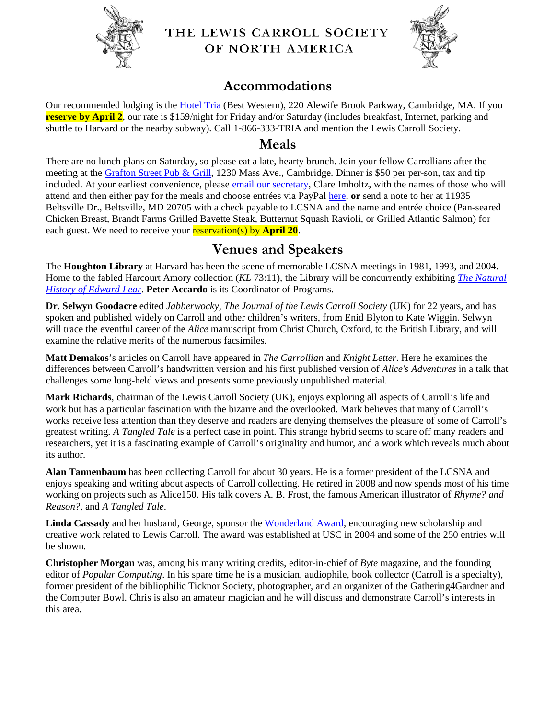

#### THE LEWIS CARROLL SOCIETY OF NORTH AMERICA



## **Accommodations**

Our recommended lodging is the [Hotel Tria](http://www.hoteltria.com/) (Best Western), 220 Alewife Brook Parkway, Cambridge, MA. If you **reserve by April 2**, our rate is \$159/night for Friday and/or Saturday (includes breakfast, Internet, parking and shuttle to Harvard or the nearby subway). Call 1-866-333-TRIA and mention the Lewis Carroll Society.

#### **Meals**

There are no lunch plans on Saturday, so please eat a late, hearty brunch. Join your fellow Carrollians after the meeting at the [Grafton Street Pub & Grill,](http://graftonstreetcambridge.com/) 1230 Mass Ave., Cambridge. Dinner is \$50 per per-son, tax and tip included. At your earliest convenience, please [email our secretary,](mailto:imholtz99@atlantech.net?subject=Boston-RSVP) Clare Imholtz, with the names of those who will attend and then either pay for the meals and choose entrées via PayPal [here,](http://lewiscarroll.org/wp-content/meetings/2012SPRING/pay4meals.html) **or** send a note to her at 11935 Beltsville Dr., Beltsville, MD 20705 with a check payable to LCSNA and the name and entrée choice (Pan-seared Chicken Breast, Brandt Farms Grilled Bavette Steak, Butternut Squash Ravioli, or Grilled Atlantic Salmon) for each guest. We need to receive your **reservation(s)** by **April 20**.

## **Venues and Speakers**

The **Houghton Library** at Harvard has been the scene of memorable LCSNA meetings in 1981, 1993, and 2004. Home to the fabled Harcourt Amory collection (*KL* 73:11), the Library will be concurrently exhibiting *[The Natural](http://hcl.harvard.edu/info/exhibitions/)  [History of Edward Lear](http://hcl.harvard.edu/info/exhibitions/)*. **Peter Accardo** is its Coordinator of Programs.

**Dr. Selwyn Goodacre** edited *Jabberwocky, The Journal of the Lewis Carroll Society* (UK) for 22 years, and has spoken and published widely on Carroll and other children's writers, from Enid Blyton to Kate Wiggin. Selwyn will trace the eventful career of the *Alice* manuscript from Christ Church, Oxford, to the British Library, and will examine the relative merits of the numerous facsimiles.

**Matt Demakos**'s articles on Carroll have appeared in *The Carrollian* and *Knight Letter*. Here he examines the differences between Carroll's handwritten version and his first published version of *Alice's Adventures* in a talk that challenges some long-held views and presents some previously unpublished material.

**Mark Richards**, chairman of the Lewis Carroll Society (UK), enjoys exploring all aspects of Carroll's life and work but has a particular fascination with the bizarre and the overlooked. Mark believes that many of Carroll's works receive less attention than they deserve and readers are denying themselves the pleasure of some of Carroll's greatest writing. *A Tangled Tale* is a perfect case in point. This strange hybrid seems to scare off many readers and researchers, yet it is a fascinating example of Carroll's originality and humor, and a work which reveals much about its author.

**Alan Tannenbaum** has been collecting Carroll for about 30 years. He is a former president of the LCSNA and enjoys speaking and writing about aspects of Carroll collecting. He retired in 2008 and now spends most of his time working on projects such as Alice150. His talk covers A. B. Frost, the famous American illustrator of *Rhyme? and Reason?,* and *A Tangled Tale*.

**Linda Cassady** and her husband, George, sponsor the [Wonderland Award,](http://www.usc.edu/libraries/news/wonderland/) encouraging new scholarship and creative work related to Lewis Carroll. The award was established at USC in 2004 and some of the 250 entries will be shown.

**Christopher Morgan** was, among his many writing credits, editor-in-chief of *Byte* magazine, and the founding editor of *Popular Computing*. In his spare time he is a musician, audiophile, book collector (Carroll is a specialty), former president of the bibliophilic Ticknor Society, photographer, and an organizer of the Gathering4Gardner and the Computer Bowl. Chris is also an amateur magician and he will discuss and demonstrate Carroll's interests in this area.